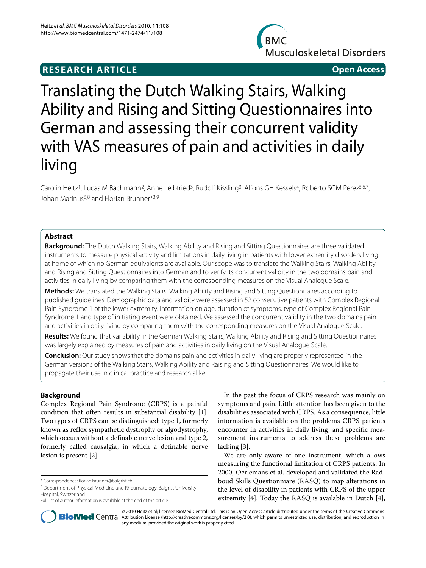## **RESEARCH ARTICLE Open Access**



# Translating the Dutch Walking Stairs, Walking Ability and Rising and Sitting Questionnaires into German and assessing their concurrent validity with VAS measures of pain and activities in daily living

Carolin Heitz<sup>1</sup>, Lucas M Bachmann<sup>2</sup>, Anne Leibfried<sup>3</sup>, Rudolf Kissling<sup>3</sup>, Alfons GH Kessels<sup>4</sup>, Roberto SGM Perez<sup>5,6,7</sup>, Johan Marinus<sup>6,8</sup> and Florian Brunner<sup>\*3,9</sup>

## **Abstract**

**Background:** The Dutch Walking Stairs, Walking Ability and Rising and Sitting Questionnaires are three validated instruments to measure physical activity and limitations in daily living in patients with lower extremity disorders living at home of which no German equivalents are available. Our scope was to translate the Walking Stairs, Walking Ability and Rising and Sitting Questionnaires into German and to verify its concurrent validity in the two domains pain and activities in daily living by comparing them with the corresponding measures on the Visual Analogue Scale.

**Methods:** We translated the Walking Stairs, Walking Ability and Rising and Sitting Questionnaires according to published guidelines. Demographic data and validity were assessed in 52 consecutive patients with Complex Regional Pain Syndrome 1 of the lower extremity. Information on age, duration of symptoms, type of Complex Regional Pain Syndrome 1 and type of initiating event were obtained. We assessed the concurrent validity in the two domains pain and activities in daily living by comparing them with the corresponding measures on the Visual Analogue Scale.

**Results:** We found that variability in the German Walking Stairs, Walking Ability and Rising and Sitting Questionnaires was largely explained by measures of pain and activities in daily living on the Visual Analogue Scale.

**Conclusion:** Our study shows that the domains pain and activities in daily living are properly represented in the German versions of the Walking Stairs, Walking Ability and Raising and Sitting Questionnaires. We would like to propagate their use in clinical practice and research alike.

## **Background**

Complex Regional Pain Syndrome (CRPS) is a painful condition that often results in substantial disability [\[1](#page-5-0)]. Two types of CRPS can be distinguished: type 1, formerly known as reflex sympathetic dystrophy or algodystrophy, which occurs without a definable nerve lesion and type 2, formerly called causalgia, in which a definable nerve lesion is present [[2\]](#page-6-0).

In the past the focus of CRPS research was mainly on symptoms and pain. Little attention has been given to the disabilities associated with CRPS. As a consequence, little information is available on the problems CRPS patients encounter in activities in daily living, and specific measurement instruments to address these problems are lacking [\[3](#page-6-1)].

We are only aware of one instrument, which allows measuring the functional limitation of CRPS patients. In 2000, Oerlemans et al. developed and validated the Radboud Skills Questionniare (RASQ) to map alterations in the level of disability in patients with CRPS of the upper extremity [\[4\]](#page-6-2). Today the RASQ is available in Dutch [\[4](#page-6-2)],

© 2010 Heitz et al; licensee BioMed Central Ltd. This is an Open Access article distributed under the terms of the Creative Commons Bio Med Central Attribution License (http://creativecommons.org/licenses/by/2.0), which permits unrestricted use, distribution, and reproduction in any medium, provided the original work is properly cited.

<sup>\*</sup> Correspondence: florian.brunner@balgrist.ch

<sup>&</sup>lt;sup>3</sup> Department of Physical Medicine and Rheumatology, Balgrist University Hospital, Switzerland

Full list of author information is available at the end of the article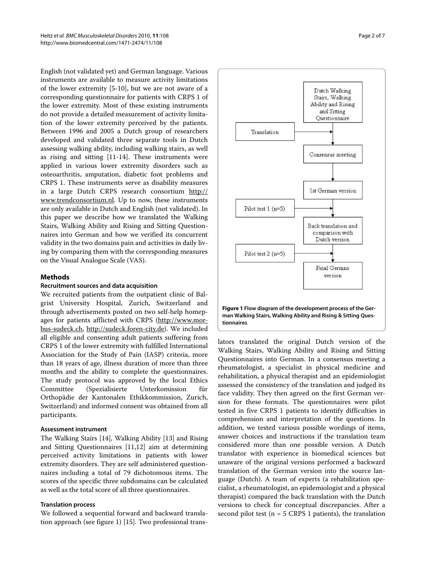English (not validated yet) and German language. Various instruments are available to measure activity limitations of the lower extremity [[5](#page-6-3)[-10](#page-6-4)], but we are not aware of a corresponding questionnaire for patients with CRPS 1 of the lower extremity. Most of these existing instruments do not provide a detailed measurement of activity limitation of the lower extremity perceived by the patients. Between 1996 and 2005 a Dutch group of researchers developed and validated three separate tools in Dutch assessing walking ability, including walking stairs, as well as rising and sitting [[11-](#page-6-5)[14\]](#page-6-6). These instruments were applied in various lower extremity disorders such as osteoarthritis, amputation, diabetic foot problems and CRPS 1. These instruments serve as disability measures in a large Dutch CRPS research consortium [http://](http://www.trendconsortium.nl) [www.trendconsortium.nl](http://www.trendconsortium.nl). Up to now, these instruments are only available in Dutch and English (not validated). In this paper we describe how we translated the Walking Stairs, Walking Ability and Rising and Sitting Questionnaires into German and how we verified its concurrent validity in the two domains pain and activities in daily living by comparing them with the corresponding measures on the Visual Analogue Scale (VAS).

## **Methods**

## **Recruitment sources and data acquisition**

We recruited patients from the outpatient clinic of Balgrist University Hospital, Zurich, Switzerland and through advertisements posted on two self-help homepages for patients afflicted with CRPS ([http://www.mor](http://www.morbus-sudeck.ch)[bus-sudeck.ch](http://www.morbus-sudeck.ch), [http://sudeck.foren-city.de\)](http://sudeck.foren-city.de). We included all eligible and consenting adult patients suffering from CRPS 1 of the lower extremity with fulfilled International Association for the Study of Pain (IASP) criteria, more than 18 years of age, illness duration of more than three months and the ability to complete the questionnaires. The study protocol was approved by the local Ethics Committee (Spezialisierte Unterkomission für Orthopädie der Kantonalen Ethikkommission, Zurich, Switzerland) and informed consent was obtained from all participants.

## **Assessment instrument**

The Walking Stairs [[14\]](#page-6-6), Walking Ability [\[13\]](#page-6-7) and Rising and Sitting Questionnaires [\[11](#page-6-5)[,12](#page-6-8)] aim at determining perceived activity limitations in patients with lower extremity disorders. They are self administered questionnaires including a total of 79 dichotomous items. The scores of the specific three subdomains can be calculated as well as the total score of all three questionnaires.

## **Translation process**

We followed a sequential forward and backward translation approach (see figure [1\)](#page-1-0) [[15\]](#page-6-9). Two professional trans-

<span id="page-1-0"></span>

lators translated the original Dutch version of the Walking Stairs, Walking Ability and Rising and Sitting Questionnaires into German. In a consensus meeting a rheumatologist, a specialist in physical medicine and rehabilitation, a physical therapist and an epidemiologist assessed the consistency of the translation and judged its face validity. They then agreed on the first German version for these formats. The questionnaires were pilot tested in five CRPS 1 patients to identify difficulties in comprehension and interpretation of the questions. In addition, we tested various possible wordings of items, answer choices and instructions if the translation team considered more than one possible version. A Dutch translator with experience in biomedical sciences but unaware of the original versions performed a backward translation of the German version into the source language (Dutch). A team of experts (a rehabilitation specialist, a rheumatologist, an epidemiologist and a physical therapist) compared the back translation with the Dutch versions to check for conceptual discrepancies. After a second pilot test ( $n = 5$  CRPS 1 patients), the translation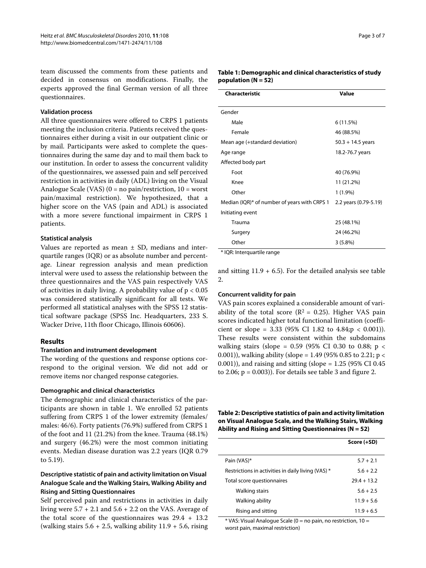team discussed the comments from these patients and decided in consensus on modifications. Finally, the experts approved the final German version of all three questionnaires.

## **Validation process**

All three questionnaires were offered to CRPS 1 patients meeting the inclusion criteria. Patients received the questionnaires either during a visit in our outpatient clinic or by mail. Participants were asked to complete the questionnaires during the same day and to mail them back to our institution. In order to assess the concurrent validity of the questionnaires, we assessed pain and self perceived restriction in activities in daily (ADL) living on the Visual Analogue Scale (VAS)  $(0 = no \, pain/restriction, 10 = worst)$ pain/maximal restriction). We hypothesized, that a higher score on the VAS (pain and ADL) is associated with a more severe functional impairment in CRPS 1 patients.

## **Statistical analysis**

Values are reported as mean  $\pm$  SD, medians and interquartile ranges (IQR) or as absolute number and percentage. Linear regression analysis and mean prediction interval were used to assess the relationship between the three questionnaires and the VAS pain respectively VAS of activities in daily living. A probability value of p < 0.05 was considered statistically significant for all tests. We performed all statistical analyses with the SPSS 12 statistical software package (SPSS Inc. Headquarters, 233 S. Wacker Drive, 11th floor Chicago, Illinois 60606).

## **Results**

## **Translation and instrument development**

The wording of the questions and response options correspond to the original version. We did not add or remove items nor changed response categories.

### **Demographic and clinical characteristics**

The demographic and clinical characteristics of the participants are shown in table 1. We enrolled 52 patients suffering from CRPS 1 of the lower extremity (females/ males: 46/6). Forty patients (76.9%) suffered from CRPS 1 of the foot and 11 (21.2%) from the knee. Trauma (48.1%) and surgery (46.2%) were the most common initiating events. Median disease duration was 2.2 years (IQR 0.79 to 5.19).

## **Descriptive statistic of pain and activity limitation on Visual Analogue Scale and the Walking Stairs, Walking Ability and Rising and Sitting Questionnaires**

Self perceived pain and restrictions in activities in daily living were  $5.7 + 2.1$  and  $5.6 + 2.2$  on the VAS. Average of the total score of the questionnaires was 29.4 + 13.2 (walking stairs  $5.6 + 2.5$ , walking ability  $11.9 + 5.6$ , rising

| Table 1: Demographic and clinical characteristics of study |
|------------------------------------------------------------|
| population (N = 52)                                        |

| <b>Characteristic</b>                        | Value                 |  |
|----------------------------------------------|-----------------------|--|
|                                              |                       |  |
| Gender                                       |                       |  |
| Male                                         | 6 (11.5%)             |  |
| Female                                       | 46 (88.5%)            |  |
| Mean age (+standard deviation)               | $50.3 + 14.5$ years   |  |
| Age range                                    | 18.2-76.7 years       |  |
| Affected body part                           |                       |  |
| Foot                                         | 40 (76.9%)            |  |
| Knee                                         | 11 (21.2%)            |  |
| Other                                        | $1(1.9\%)$            |  |
| Median (IQR)* of number of years with CRPS 1 | 2.2 years (0.79-5.19) |  |
| Initiating event                             |                       |  |
| Trauma                                       | 25 (48.1%)            |  |
| Surgery                                      | 24 (46.2%)            |  |
| Other                                        | 3(5.8%)               |  |
|                                              |                       |  |

\* IQR: Interquartile range

and sitting  $11.9 + 6.5$ ). For the detailed analysis see table  $2.$ 

### **Concurrent validity for pain**

VAS pain scores explained a considerable amount of variability of the total score ( $\mathbb{R}^2$  = 0.25). Higher VAS pain scores indicated higher total functional limitation (coefficient or slope =  $3.33$  (95% CI 1.82 to  $4.84; p < 0.001$ )). These results were consistent within the subdomains walking stairs (slope =  $0.59$  (95% CI 0.30 to 0.88; p < 0.001)), walking ability (slope = 1.49 (95% 0.85 to 2.21; p < 0.001)), and raising and sitting (slope =  $1.25$  (95% CI 0.45) to [2.](#page-4-0)06;  $p = 0.003$ ). For details see table 3 and figure 2.

**Table 2: Descriptive statistics of pain and activity limitation on Visual Analogue Scale, and the Walking Stairs, Walking Ability and Rising and Sitting Questionnaires (N = 52)**

|                                                    | Score (+SD)   |
|----------------------------------------------------|---------------|
|                                                    |               |
| Pain (VAS)*                                        | $5.7 + 2.1$   |
| Restrictions in activities in daily living (VAS) * | $5.6 + 2.2$   |
| Total score questionnaires                         | $79.4 + 13.2$ |
| Walking stairs                                     | $5.6 + 2.5$   |
| Walking ability                                    | $11.9 + 5.6$  |
| Rising and sitting                                 | $11.9 + 6.5$  |

 $*$  VAS: Visual Analogue Scale (0 = no pain, no restriction, 10 = worst pain, maximal restriction)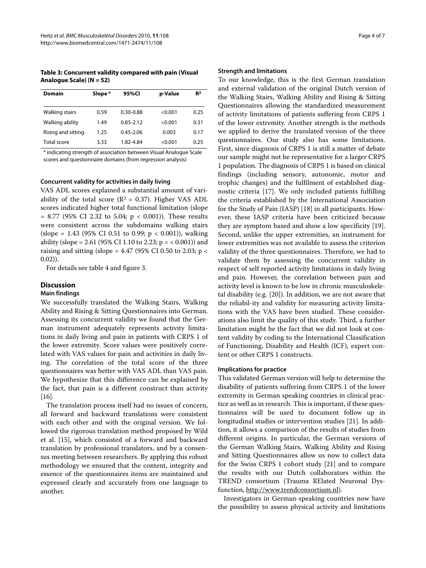**Table 3: Concurrent validity compared with pain (Visual Analogue Scale) (N = 52)**

| <b>Domain</b>      | Slope * | 95%CI         | p-Value | R <sup>2</sup> |
|--------------------|---------|---------------|---------|----------------|
| Walking stairs     | 0.59    | $0.30 - 0.88$ | < 0.001 | 0.25           |
| Walking ability    | 1.49    | 0.85-2.12     | < 0.001 | 0.31           |
| Rising and sitting | 1.25    | $0.45 - 2.06$ | 0.003   | 0.17           |
| Total score        | 3.33    | 1.82-4.84     | < 0.001 | 0.25           |

\* indicating strength of association between Visual Analogue Scale scores and questionnaire domains (from regression analysis)

#### **Concurrent validity for activities in daily living**

VAS ADL scores explained a substantial amount of variability of the total score ( $R^2 = 0.37$ ). Higher VAS ADL scores indicated higher total functional limitation (slope  $= 8.77$  (95% CI 2.32 to 5.04;  $p < 0.001$ )). These results were consistent across the subdomains walking stairs (slope = 1.43 (95% CI 0.51 to 0.99;  $p < 0.001$ )), walking ability (slope = 2.61 (95% CI 1.10 to 2.23; p = < 0.001)) and raising and sitting (slope = 4.47 (95% CI 0.50 to 2.03;  $p <$  $(0.02)$ ).

For details see table 4 and figure [3.](#page-5-1)

## **Discussion**

## **Main findings**

We successfully translated the Walking Stairs, Walking Ability and Rising & Sitting Questionnaires into German. Assessing its concurrent validity we found that the German instrument adequately represents activity limitations in daily living and pain in patients with CRPS 1 of the lower extremity. Score values were positively correlated with VAS values for pain and activities in daily living. The correlation of the total score of the three questionnaires was better with VAS ADL than VAS pain. We hypothesize that this difference can be explained by the fact, that pain is a different construct than activity [[16\]](#page-6-10).

The translation process itself had no issues of concern, all forward and backward translations were consistent with each other and with the original version. We followed the rigorous translation method proposed by Wild et al. [[15\]](#page-6-9), which consisted of a forward and backward translation by professional translators, and by a consensus meeting between researchers. By applying this robust methodology we ensured that the content, integrity and essence of the questionnaires items are maintained and expressed clearly and accurately from one language to another.

#### **Strength and limitations**

To our knowledge, this is the first German translation and external validation of the original Dutch version of the Walking Stairs, Walking Ability and Rising & Sitting Questionnaires allowing the standardized measurement of activity limitations of patients suffering from CRPS 1 of the lower extremity. Another strength is the methods we applied to derive the translated version of the three questionnaires. Our study also has some limitations. First, since diagnosis of CRPS 1 is still a matter of debate our sample might not be representative for a larger CRPS 1 population. The diagnosis of CRPS 1 is based on clinical findings (including sensory, autonomic, motor and trophic changes) and the fulfilment of established diagnostic criteria [\[17\]](#page-6-11). We only included patients fulfilling the criteria established by the International Association for the Study of Pain (IASP) [[18\]](#page-6-12) in all participants. However, these IASP criteria have been criticized because they are symptom based and show a low specificity [\[19](#page-6-13)]. Second, unlike the upper extremities, an instrument for lower extremities was not available to assess the criterion validity of the three questionnaires. Therefore, we had to validate them by assessing the concurrent validity in respect of self reported activity limitations in daily living and pain. However, the correlation between pain and activity level is known to be low in chronic musculoskeletal disability (e.g. [[20](#page-6-14)]). In addition, we are not aware that the reliabil-ity and validity for measuring activity limitations with the VAS have been studied. These considerations also limit the quality of this study. Third, a further limitation might be the fact that we did not look at content validity by coding to the International Classification of Functioning, Disability and Health (ICF), expert content or other CRPS 1 constructs.

## **Implications for practice**

This validated German version will help to determine the disability of patients suffering from CRPS 1 of the lower extremity in German speaking countries in clinical practice as well as in research. This is important, if these questionnaires will be used to document follow up in longitudinal studies or intervention studies [[21\]](#page-6-15). In addition, it allows a comparison of the results of studies from different origins. In particular, the German versions of the German Walking Stairs, Walking Ability and Rising and Sitting Questionnaires allow us now to collect data for the Swiss CRPS 1 cohort study [\[21](#page-6-15)] and to compare the results with our Dutch collaborators within the TREND consortium (Trauma RElated Neuronal Dysfunction, [http://www.trendconsortium.nl\)](http://www.trendconsortium.nl).

Investigators in German-speaking countries now have the possibility to assess physical activity and limitations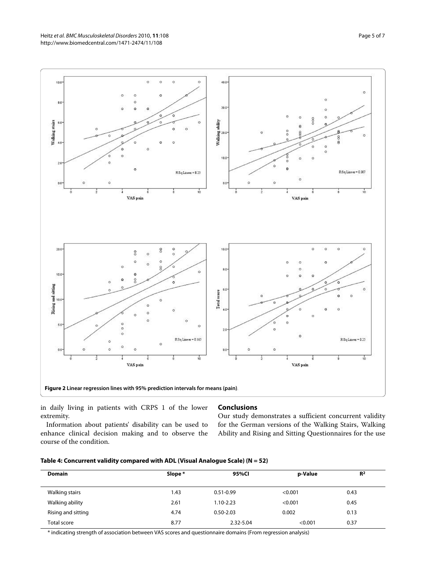Heitz et al. BMC Musculoskeletal Disorders 2010, **11**:108 http://www.biomedcentral.com/1471-2474/11/108

<span id="page-4-0"></span>

in daily living in patients with CRPS 1 of the lower extremity.

## **Conclusions**

Our study demonstrates a sufficient concurrent validity for the German versions of the Walking Stairs, Walking Ability and Rising and Sitting Questionnaires for the use

| Information about patients' disability can be used to |  |  |  |
|-------------------------------------------------------|--|--|--|
| enhance clinical decision making and to observe the   |  |  |  |
| course of the condition.                              |  |  |  |

| Table 4: Concurrent validity compared with ADL (Visual Analogue Scale) (N = 52) |  |  |
|---------------------------------------------------------------------------------|--|--|
|                                                                                 |  |  |

| <b>Domain</b>      | Slope * | 95%Cl         | p-Value | R <sup>2</sup> |
|--------------------|---------|---------------|---------|----------------|
| Walking stairs     | 1.43    | $0.51 - 0.99$ | < 0.001 | 0.43           |
| Walking ability    | 2.61    | 1.10-2.23     | < 0.001 | 0.45           |
| Rising and sitting | 4.74    | $0.50 - 2.03$ | 0.002   | 0.13           |
| Total score        | 8.77    | 2.32-5.04     | < 0.001 | 0.37           |

\* indicating strength of association between VAS scores and questionnaire domains (From regression analysis)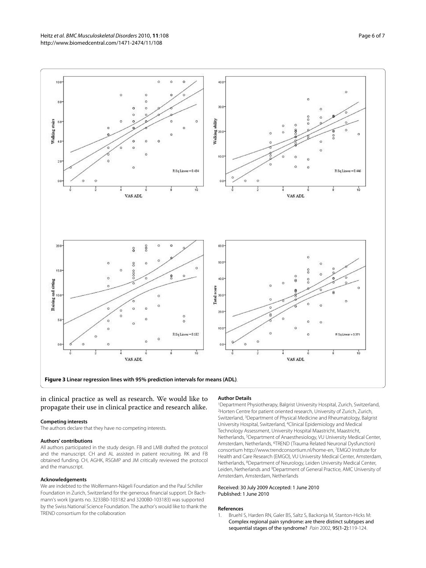Heitz et al. BMC Musculoskeletal Disorders 2010, **11**:108 http://www.biomedcentral.com/1471-2474/11/108

<span id="page-5-1"></span>

in clinical practice as well as research. We would like to propagate their use in clinical practice and research alike.

#### **Competing interests**

The authors declare that they have no competing interests.

#### **Authors' contributions**

All authors participated in the study design. FB and LMB drafted the protocol and the manuscript. CH and AL assisted in patient recruiting. RK and FB obtained funding. CH, AGHK, RSGMP and JM critically reviewed the protocol and the manuscript.

#### **Acknowledgements**

We are indebted to the Wolfermann-Nägeli Foundation and the Paul Schiller Foundation in Zurich, Switzerland for the generous financial support. Dr Bachmann's work (grants no. 3233B0-103182 and 3200B0-103183) was supported by the Swiss National Science Foundation. The author's would like to thank the TREND consortium for the collaboration

#### **Author Details**

1Department Physiotherapy, Balgrist University Hospital, Zurich, Switzerland, 2Horten Centre for patient oriented research, University of Zurich, Zurich, Switzerland, 3Department of Physical Medicine and Rheumatology, Balgrist University Hospital, Switzerland, 4Clinical Epidemiology and Medical Technology Assessment, University Hospital Maastricht, Maastricht, Netherlands, 5Department of Anaesthesiology, VU University Medical Center, Amsterdam, Netherlands, 6TREND (Trauma Related Neuronal Dysfunction) consortium http://www.trendconsortium.nl/home-en, 7EMGO Institute for Health and Care Research (EMGO), VU University Medical Center, Amsterdam, Netherlands, 8Department of Neurology, Leiden University Medical Center, Leiden, Netherlands and 9Department of General Practice, AMC University of Amsterdam, Amsterdam, Netherlands

#### Received: 30 July 2009 Accepted: 1 June 2010 Published: 1 June 2010

#### **References**

<span id="page-5-0"></span>1. Bruehl S, Harden RN, Galer BS, Saltz S, Backonja M, Stanton-Hicks M: Complex regional pain syndrome: are there distinct subtypes and sequential stages of the syndrome? Pain 2002, 95(1-2):119-124.